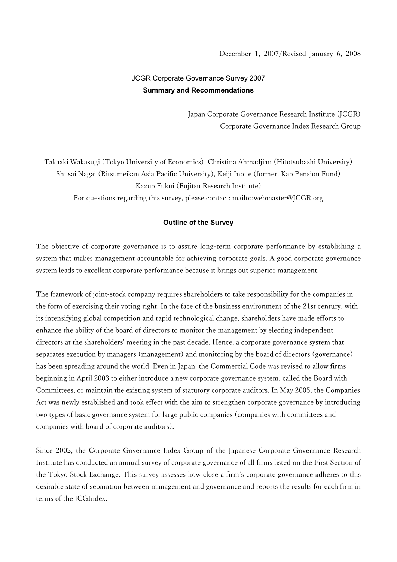# JCGR Corporate Governance Survey 2007  $-Summary$  and Recommendations $-$

Japan Corporate Governance Research Institute (JCGR) Corporate Governance Index Research Group

Takaaki Wakasugi (Tokyo University of Economics), Christina Ahmadjian (Hitotsubashi University) Shusai Nagai (Ritsumeikan Asia Pacific University), Keiji Inoue (former, Kao Pension Fund) Kazuo Fukui (Fujitsu Research Institute) For questions regarding this survey, please contact: mailto:webmaster@JCGR.org

### Outline of the Survey

The objective of corporate governance is to assure long-term corporate performance by establishing a system that makes management accountable for achieving corporate goals. A good corporate governance system leads to excellent corporate performance because it brings out superior management.

The framework of joint-stock company requires shareholders to take responsibility for the companies in the form of exercising their voting right. In the face of the business environment of the 21st century, with its intensifying global competition and rapid technological change, shareholders have made efforts to enhance the ability of the board of directors to monitor the management by electing independent directors at the shareholders' meeting in the past decade. Hence, a corporate governance system that separates execution by managers (management) and monitoring by the board of directors (governance) has been spreading around the world. Even in Japan, the Commercial Code was revised to allow firms beginning in April 2003 to either introduce a new corporate governance system, called the Board with Committees, or maintain the existing system of statutory corporate auditors. In May 2005, the Companies Act was newly established and took effect with the aim to strengthen corporate governance by introducing two types of basic governance system for large public companies (companies with committees and companies with board of corporate auditors).

Since 2002, the Corporate Governance Index Group of the Japanese Corporate Governance Research Institute has conducted an annual survey of corporate governance of all firms listed on the First Section of the Tokyo Stock Exchange. This survey assesses how close a firm's corporate governance adheres to this desirable state of separation between management and governance and reports the results for each firm in terms of the JCGIndex.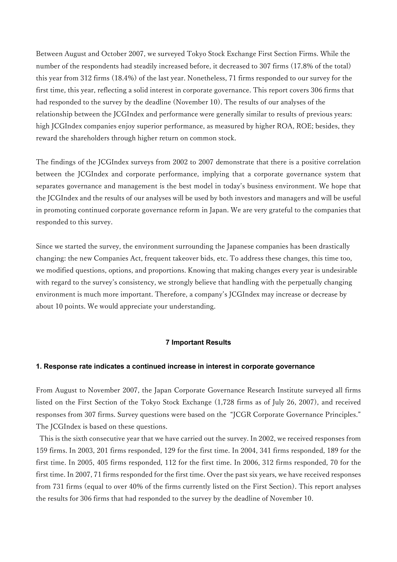Between August and October 2007, we surveyed Tokyo Stock Exchange First Section Firms. While the number of the respondents had steadily increased before, it decreased to 307 firms (17.8% of the total) this year from 312 firms (18.4%) of the last year. Nonetheless, 71 firms responded to our survey for the first time, this year, reflecting a solid interest in corporate governance. This report covers 306 firms that had responded to the survey by the deadline (November 10). The results of our analyses of the relationship between the JCGIndex and performance were generally similar to results of previous years: high JCGIndex companies enjoy superior performance, as measured by higher ROA, ROE; besides, they reward the shareholders through higher return on common stock.

The findings of the JCGIndex surveys from 2002 to 2007 demonstrate that there is a positive correlation between the JCGIndex and corporate performance, implying that a corporate governance system that separates governance and management is the best model in today's business environment. We hope that the JCGIndex and the results of our analyses will be used by both investors and managers and will be useful in promoting continued corporate governance reform in Japan. We are very grateful to the companies that responded to this survey.

Since we started the survey, the environment surrounding the Japanese companies has been drastically changing: the new Companies Act, frequent takeover bids, etc. To address these changes, this time too, we modified questions, options, and proportions. Knowing that making changes every year is undesirable with regard to the survey's consistency, we strongly believe that handling with the perpetually changing environment is much more important. Therefore, a company's JCGIndex may increase or decrease by about 10 points. We would appreciate your understanding.

#### 7 Important Results

#### 1. Response rate indicates a continued increase in interest in corporate governance

From August to November 2007, the Japan Corporate Governance Research Institute surveyed all firms listed on the First Section of the Tokyo Stock Exchange (1,728 firms as of July 26, 2007), and received responses from 307 firms. Survey questions were based on the "JCGR Corporate Governance Principles." The JCGIndex is based on these questions.

 This is the sixth consecutive year that we have carried out the survey. In 2002, we received responses from 159 firms. In 2003, 201 firms responded, 129 for the first time. In 2004, 341 firms responded, 189 for the first time. In 2005, 405 firms responded, 112 for the first time. In 2006, 312 firms responded, 70 for the first time. In 2007, 71 firms responded for the first time. Over the past six years, we have received responses from 731 firms (equal to over 40% of the firms currently listed on the First Section). This report analyses the results for 306 firms that had responded to the survey by the deadline of November 10.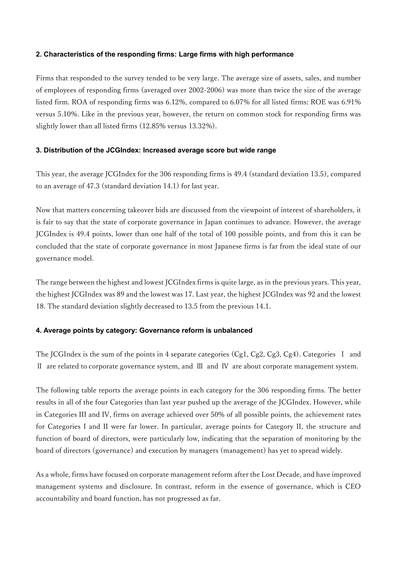# 2. Characteristics of the responding firms: Large firms with high performance

Firms that responded to the survey tended to be very large. The average size of assets, sales, and number of employees of responding firms (averaged over 2002-2006) was more than twice the size of the average listed firm. ROA of responding firms was 6.12%, compared to 6.07% for all listed firms: ROE was 6.91% versus 5.10%. Like in the previous year, however, the return on common stock for responding firms was slightly lower than all listed firms (12.85% versus 13.32%).

### 3. Distribution of the JCGIndex: Increased average score but wide range

This year, the average JCGIndex for the 306 responding firms is 49.4 (standard deviation 13.5), compared to an average of 47.3 (standard deviation 14.1) for last year.

Now that matters concerning takeover bids are discussed from the viewpoint of interest of shareholders, it is fair to say that the state of corporate governance in Japan continues to advance. However, the average JCGIndex is 49.4 points, lower than one half of the total of 100 possible points, and from this it can be concluded that the state of corporate governance in most Japanese firms is far from the ideal state of our governance model.

The range between the highest and lowest JCGIndex firms is quite large, as in the previous years. This year, the highest JCGIndex was 89 and the lowest was 17. Last year, the highest JCGIndex was 92 and the lowest 18. The standard deviation slightly decreased to 13.5 from the previous 14.1.

# 4. Average points by category: Governance reform is unbalanced

The JCGIndex is the sum of the points in 4 separate categories (Cg1, Cg2, Cg3, Cg4). Categories I and Ⅱ are related to corporate governance system, and Ⅲ and Ⅳ are about corporate management system.

The following table reports the average points in each category for the 306 responding firms. The better results in all of the four Categories than last year pushed up the average of the JCGIndex. However, while in Categories III and IV, firms on average achieved over 50% of all possible points, the achievement rates for Categories I and II were far lower. In particular, average points for Category II, the structure and function of board of directors, were particularly low, indicating that the separation of monitoring by the board of directors (governance) and execution by managers (management) has yet to spread widely.

As a whole, firms have focused on corporate management reform after the Lost Decade, and have improved management systems and disclosure. In contrast, reform in the essence of governance, which is CEO accountability and board function, has not progressed as far.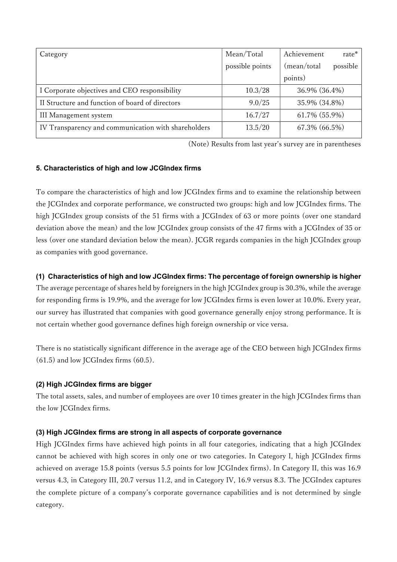| Category                                            | Mean/Total      | Achievement<br>rate*    |
|-----------------------------------------------------|-----------------|-------------------------|
|                                                     | possible points | (mean/total<br>possible |
|                                                     |                 | points)                 |
| I Corporate objectives and CEO responsibility       | 10.3/28         | 36.9% (36.4%)           |
| II Structure and function of board of directors     | 9.0/25          | 35.9% (34.8%)           |
| III Management system                               | 16.7/27         | 61.7% (55.9%)           |
| IV Transparency and communication with shareholders | 13.5/20         | 67.3% (66.5%)           |

(Note) Results from last year's survey are in parentheses

# 5. Characteristics of high and low JCGIndex firms

To compare the characteristics of high and low JCGIndex firms and to examine the relationship between the JCGIndex and corporate performance, we constructed two groups: high and low JCGIndex firms. The high JCGIndex group consists of the 51 firms with a JCGIndex of 63 or more points (over one standard deviation above the mean) and the low JCGIndex group consists of the 47 firms with a JCGIndex of 35 or less (over one standard deviation below the mean). JCGR regards companies in the high JCGIndex group as companies with good governance.

# (1) Characteristics of high and low JCGIndex firms: The percentage of foreign ownership is higher

The average percentage of shares held by foreigners in the high JCGIndex group is 30.3%, while the average for responding firms is 19.9%, and the average for low JCGIndex firms is even lower at 10.0%. Every year, our survey has illustrated that companies with good governance generally enjoy strong performance. It is not certain whether good governance defines high foreign ownership or vice versa.

There is no statistically significant difference in the average age of the CEO between high JCGIndex firms  $(61.5)$  and low JCGIndex firms  $(60.5)$ .

# (2) High JCGIndex firms are bigger

The total assets, sales, and number of employees are over 10 times greater in the high JCGIndex firms than the low JCGIndex firms.

# (3) High JCGIndex firms are strong in all aspects of corporate governance

High JCGIndex firms have achieved high points in all four categories, indicating that a high JCGIndex cannot be achieved with high scores in only one or two categories. In Category I, high JCGIndex firms achieved on average 15.8 points (versus 5.5 points for low JCGIndex firms). In Category II, this was 16.9 versus 4.3, in Category III, 20.7 versus 11.2, and in Category IV, 16.9 versus 8.3. The JCGIndex captures the complete picture of a company's corporate governance capabilities and is not determined by single category.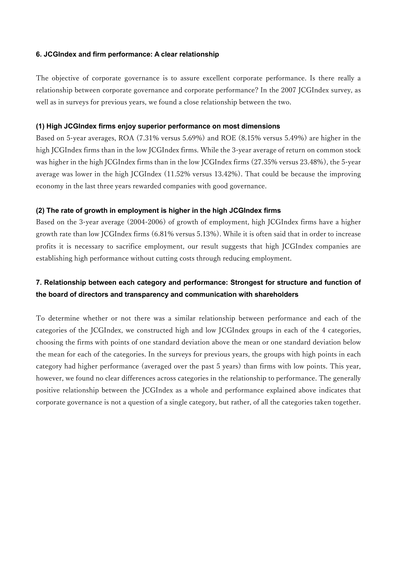### 6. JCGIndex and firm performance: A clear relationship

The objective of corporate governance is to assure excellent corporate performance. Is there really a relationship between corporate governance and corporate performance? In the 2007 JCGIndex survey, as well as in surveys for previous years, we found a close relationship between the two.

#### (1) High JCGIndex firms enjoy superior performance on most dimensions

Based on 5-year averages, ROA (7.31% versus 5.69%) and ROE (8.15% versus 5.49%) are higher in the high JCGIndex firms than in the low JCGIndex firms. While the 3-year average of return on common stock was higher in the high JCGIndex firms than in the low JCGIndex firms (27.35% versus 23.48%), the 5-year average was lower in the high JCGIndex (11.52% versus 13.42%). That could be because the improving economy in the last three years rewarded companies with good governance.

### (2) The rate of growth in employment is higher in the high JCGIndex firms

Based on the 3-year average (2004-2006) of growth of employment, high JCGIndex firms have a higher growth rate than low JCGIndex firms (6.81% versus 5.13%). While it is often said that in order to increase profits it is necessary to sacrifice employment, our result suggests that high JCGIndex companies are establishing high performance without cutting costs through reducing employment.

# 7. Relationship between each category and performance: Strongest for structure and function of the board of directors and transparency and communication with shareholders

To determine whether or not there was a similar relationship between performance and each of the categories of the JCGIndex, we constructed high and low JCGIndex groups in each of the 4 categories, choosing the firms with points of one standard deviation above the mean or one standard deviation below the mean for each of the categories. In the surveys for previous years, the groups with high points in each category had higher performance (averaged over the past 5 years) than firms with low points. This year, however, we found no clear differences across categories in the relationship to performance. The generally positive relationship between the JCGIndex as a whole and performance explained above indicates that corporate governance is not a question of a single category, but rather, of all the categories taken together.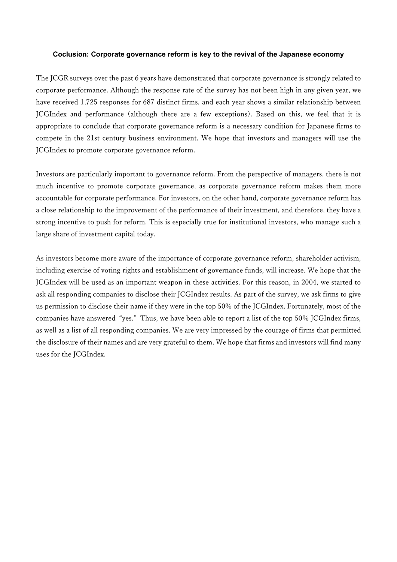#### Coclusion: Corporate governance reform is key to the revival of the Japanese economy

The JCGR surveys over the past 6 years have demonstrated that corporate governance is strongly related to corporate performance. Although the response rate of the survey has not been high in any given year, we have received 1,725 responses for 687 distinct firms, and each year shows a similar relationship between JCGIndex and performance (although there are a few exceptions). Based on this, we feel that it is appropriate to conclude that corporate governance reform is a necessary condition for Japanese firms to compete in the 21st century business environment. We hope that investors and managers will use the JCGIndex to promote corporate governance reform.

Investors are particularly important to governance reform. From the perspective of managers, there is not much incentive to promote corporate governance, as corporate governance reform makes them more accountable for corporate performance. For investors, on the other hand, corporate governance reform has a close relationship to the improvement of the performance of their investment, and therefore, they have a strong incentive to push for reform. This is especially true for institutional investors, who manage such a large share of investment capital today.

As investors become more aware of the importance of corporate governance reform, shareholder activism, including exercise of voting rights and establishment of governance funds, will increase. We hope that the JCGIndex will be used as an important weapon in these activities. For this reason, in 2004, we started to ask all responding companies to disclose their JCGIndex results. As part of the survey, we ask firms to give us permission to disclose their name if they were in the top 50% of the JCGIndex. Fortunately, most of the companies have answered "yes." Thus, we have been able to report a list of the top 50% JCGIndex firms, as well as a list of all responding companies. We are very impressed by the courage of firms that permitted the disclosure of their names and are very grateful to them. We hope that firms and investors will find many uses for the JCGIndex.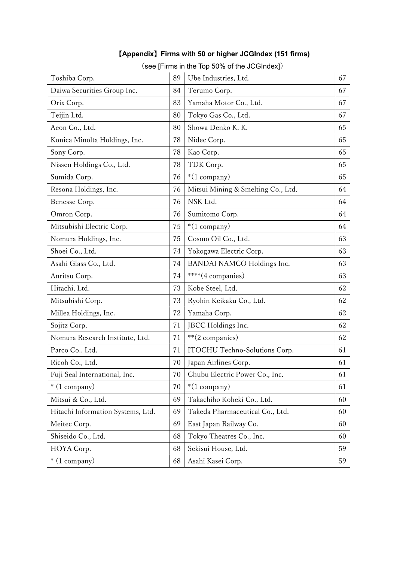|                                   |    | (see [Firms in the Top 50% of the JCGIndex]) |    |
|-----------------------------------|----|----------------------------------------------|----|
| Toshiba Corp.                     | 89 | Ube Industries, Ltd.                         | 67 |
| Daiwa Securities Group Inc.       | 84 | Terumo Corp.                                 | 67 |
| Orix Corp.                        | 83 | Yamaha Motor Co., Ltd.                       | 67 |
| Teijin Ltd.                       | 80 | Tokyo Gas Co., Ltd.                          | 67 |
| Aeon Co., Ltd.                    | 80 | Showa Denko K. K.                            | 65 |
| Konica Minolta Holdings, Inc.     | 78 | Nidec Corp.                                  | 65 |
| Sony Corp.                        | 78 | Kao Corp.                                    | 65 |
| Nissen Holdings Co., Ltd.         | 78 | TDK Corp.                                    | 65 |
| Sumida Corp.                      | 76 | $*(1$ company)                               | 65 |
| Resona Holdings, Inc.             | 76 | Mitsui Mining & Smelting Co., Ltd.           | 64 |
| Benesse Corp.                     | 76 | NSK Ltd.                                     | 64 |
| Omron Corp.                       | 76 | Sumitomo Corp.                               | 64 |
| Mitsubishi Electric Corp.         | 75 | $*(1$ company)                               | 64 |
| Nomura Holdings, Inc.             | 75 | Cosmo Oil Co., Ltd.                          | 63 |
| Shoei Co., Ltd.                   | 74 | Yokogawa Electric Corp.                      | 63 |
| Asahi Glass Co., Ltd.             | 74 | BANDAI NAMCO Holdings Inc.                   | 63 |
| Anritsu Corp.                     | 74 | ****(4 companies)                            | 63 |
| Hitachi, Ltd.                     | 73 | Kobe Steel, Ltd.                             | 62 |
| Mitsubishi Corp.                  | 73 | Ryohin Keikaku Co., Ltd.                     | 62 |
| Millea Holdings, Inc.             | 72 | Yamaha Corp.                                 | 62 |
| Sojitz Corp.                      | 71 | JBCC Holdings Inc.                           | 62 |
| Nomura Research Institute, Ltd.   | 71 | **(2 companies)                              | 62 |
| Parco Co., Ltd.                   | 71 | ITOCHU Techno-Solutions Corp.                | 61 |
| Ricoh Co., Ltd.                   | 70 | Japan Airlines Corp.                         | 61 |
| Fuji Seal International, Inc.     | 70 | Chubu Electric Power Co., Inc.               | 61 |
| $*(1$ company)                    | 70 | $*(1$ company)                               | 61 |
| Mitsui & Co., Ltd.                | 69 | Takachiho Koheki Co., Ltd.                   | 60 |
| Hitachi Information Systems, Ltd. | 69 | Takeda Pharmaceutical Co., Ltd.              | 60 |
| Meitec Corp.                      | 69 | East Japan Railway Co.                       | 60 |
| Shiseido Co., Ltd.                | 68 | Tokyo Theatres Co., Inc.                     | 60 |
| HOYA Corp.                        | 68 | Sekisui House, Ltd.                          | 59 |

\* (1 company) 68 Asahi Kasei Corp. 59

# 【Appendix】Firms with 50 or higher JCGIndex (151 firms)